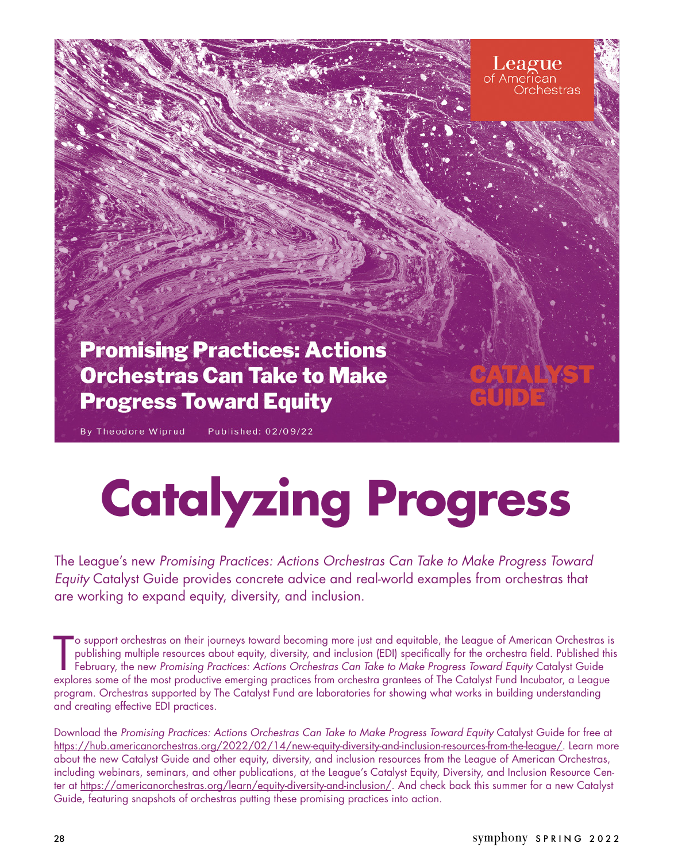

# **Catalyzing Progress**

The League's new Promising Practices: Actions Orchestras Can Take to Make Progress Toward Equity Catalyst Guide provides concrete advice and real-world examples from orchestras that are working to expand equity, diversity, and inclusion.

o support orchestras on their journeys toward becoming more just and equitable, the League of American Orchestras is<br>publishing multiple resources about equity, diversity, and inclusion (EDI) specifically for the orchestra o support orchestras on their journeys toward becoming more just and equitable, the League of American Orchestras is publishing multiple resources about equity, diversity, and inclusion (EDI) specifically for the orchestra field. Published this February, the new *Promising Practices: Actions Orchestras Can Take to Make Progress Toward Equity* Catalyst Guide program. Orchestras supported by The Catalyst Fund are laboratories for showing what works in building understanding and creating effective EDI practices.

Download the *Promising Practices: Actions Orchestras Can Take to Make Progress Toward Equity* Catalyst Guide for free at [https://hub.americanorchestras.org/2022/02/14/new-equity-diversity-and-inclusion-resources-from-the-league/.](https://hub.americanorchestras.org/2022/02/14/new-equity-diversity-and-inclusion-resources-from-the-league/) Learn more about the new Catalyst Guide and other equity, diversity, and inclusion resources from the League of American Orchestras, including webinars, seminars, and other publications, at the League's Catalyst Equity, Diversity, and Inclusion Resource Center at [https://americanorchestras.org/learn/equity-diversity-and-inclusion/.](https://americanorchestras.org/learn/equity-diversity-and-inclusion/) And check back this summer for a new Catalyst Guide, featuring snapshots of orchestras putting these promising practices into action.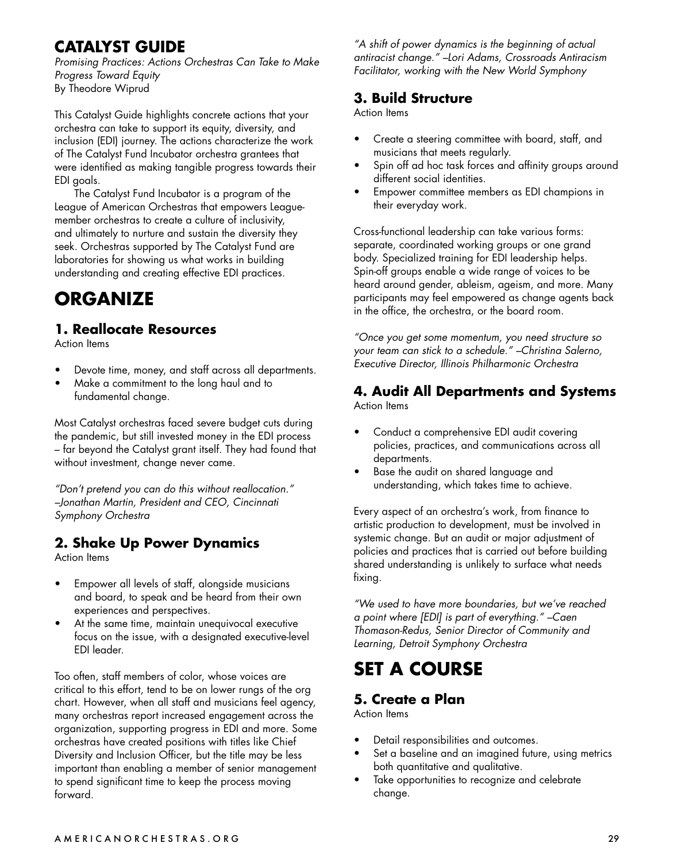### **CATALYST GUIDE**

*Promising Practices: Actions Orchestras Can Take to Make Progress Toward Equity* By Theodore Wiprud

This Catalyst Guide highlights concrete actions that your orchestra can take to support its equity, diversity, and inclusion (EDI) journey. The actions characterize the work of The Catalyst Fund Incubator orchestra grantees that were identified as making tangible progress towards their EDI goals.

The Catalyst Fund Incubator is a program of the League of American Orchestras that empowers Leaguemember orchestras to create a culture of inclusivity, and ultimately to nurture and sustain the diversity they seek. Orchestras supported by The Catalyst Fund are laboratories for showing us what works in building understanding and creating effective EDI practices.

## **ORGANIZE**

#### **1. Reallocate Resources**

Action Items

- Devote time, money, and staff across all departments.
- Make a commitment to the long haul and to fundamental change.

Most Catalyst orchestras faced severe budget cuts during the pandemic, but still invested money in the EDI process – far beyond the Catalyst grant itself. They had found that without investment, change never came.

*"Don't pretend you can do this without reallocation." –Jonathan Martin, President and CEO, Cincinnati Symphony Orchestra*

#### **2. Shake Up Power Dynamics**

Action Items

- Empower all levels of staff, alongside musicians and board, to speak and be heard from their own experiences and perspectives.
- At the same time, maintain unequivocal executive focus on the issue, with a designated executive-level EDI leader.

Too often, staff members of color, whose voices are critical to this effort, tend to be on lower rungs of the org chart. However, when all staff and musicians feel agency, many orchestras report increased engagement across the organization, supporting progress in EDI and more. Some orchestras have created positions with titles like Chief Diversity and Inclusion Officer, but the title may be less important than enabling a member of senior management to spend significant time to keep the process moving forward.

*"A shift of power dynamics is the beginning of actual antiracist change." –Lori Adams, Crossroads Antiracism Facilitator, working with the New World Symphony*

#### **3. Build Structure**

Action Items

- Create a steering committee with board, staff, and musicians that meets regularly.
- Spin off ad hoc task forces and affinity groups around different social identities.
- Empower committee members as EDI champions in their everyday work.

Cross-functional leadership can take various forms: separate, coordinated working groups or one grand body. Specialized training for EDI leadership helps. Spin-off groups enable a wide range of voices to be heard around gender, ableism, ageism, and more. Many participants may feel empowered as change agents back in the office, the orchestra, or the board room.

*"Once you get some momentum, you need structure so your team can stick to a schedule." –Christina Salerno, Executive Director, Illinois Philharmonic Orchestra*

#### **4. Audit All Departments and Systems**

Action Items

- Conduct a comprehensive EDI audit covering policies, practices, and communications across all departments.
- Base the audit on shared language and understanding, which takes time to achieve.

Every aspect of an orchestra's work, from finance to artistic production to development, must be involved in systemic change. But an audit or major adjustment of policies and practices that is carried out before building shared understanding is unlikely to surface what needs fixing.

*"We used to have more boundaries, but we've reached a point where [EDI] is part of everything." –Caen Thomason-Redus, Senior Director of Community and Learning, Detroit Symphony Orchestra*

# **SET A COURSE**

## **5. Create a Plan**

Action Items

- Detail responsibilities and outcomes.
- Set a baseline and an imagined future, using metrics both quantitative and qualitative.
- Take opportunities to recognize and celebrate change.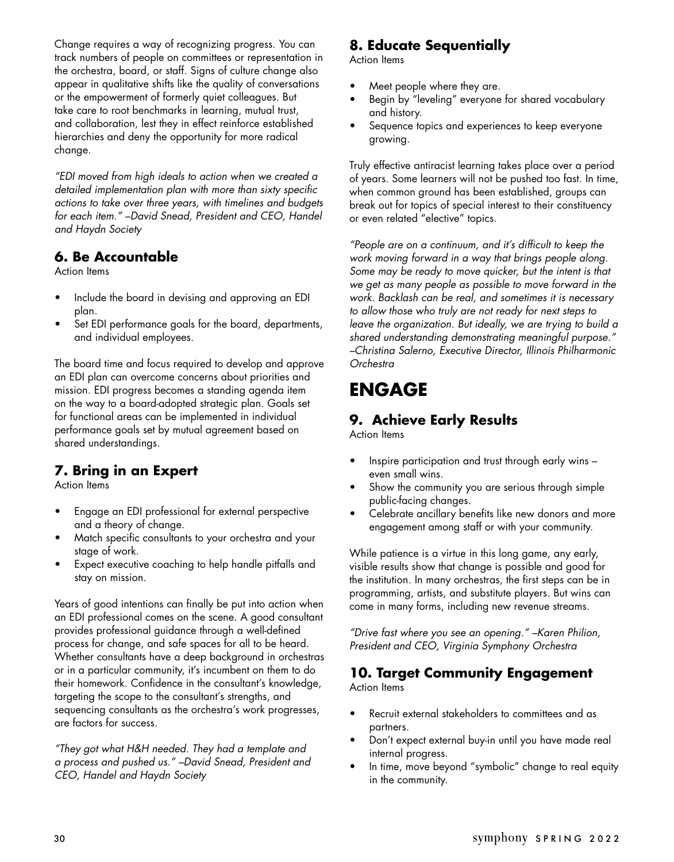Change requires a way of recognizing progress. You can track numbers of people on committees or representation in the orchestra, board, or staff. Signs of culture change also appear in qualitative shifts like the quality of conversations or the empowerment of formerly quiet colleagues. But take care to root benchmarks in learning, mutual trust, and collaboration, lest they in effect reinforce established hierarchies and deny the opportunity for more radical change.

*"EDI moved from high ideals to action when we created a detailed implementation plan with more than sixty specific actions to take over three years, with timelines and budgets for each item." –David Snead, President and CEO, Handel and Haydn Society*

#### **6. Be Accountable**

Action Items

- Include the board in devising and approving an EDI plan.
- Set EDI performance goals for the board, departments, and individual employees.

The board time and focus required to develop and approve an EDI plan can overcome concerns about priorities and mission. EDI progress becomes a standing agenda item on the way to a board-adopted strategic plan. Goals set for functional areas can be implemented in individual performance goals set by mutual agreement based on shared understandings.

#### **7. Bring in an Expert**

Action Items

- Engage an EDI professional for external perspective and a theory of change.
- Match specific consultants to your orchestra and your stage of work.
- Expect executive coaching to help handle pitfalls and stay on mission.

Years of good intentions can finally be put into action when an EDI professional comes on the scene. A good consultant provides professional guidance through a well-defined process for change, and safe spaces for all to be heard. Whether consultants have a deep background in orchestras or in a particular community, it's incumbent on them to do their homework. Confidence in the consultant's knowledge, targeting the scope to the consultant's strengths, and sequencing consultants as the orchestra's work progresses, are factors for success.

*"They got what H&H needed. They had a template and a process and pushed us." –David Snead, President and CEO, Handel and Haydn Society*

#### **8. Educate Sequentially**

Action Items

- Meet people where they are.
- Begin by "leveling" everyone for shared vocabulary and history.
- Sequence topics and experiences to keep everyone growing.

Truly effective antiracist learning takes place over a period of years. Some learners will not be pushed too fast. In time, when common ground has been established, groups can break out for topics of special interest to their constituency or even related "elective" topics.

*"People are on a continuum, and it's difficult to keep the work moving forward in a way that brings people along. Some may be ready to move quicker, but the intent is that we get as many people as possible to move forward in the work. Backlash can be real, and sometimes it is necessary to allow those who truly are not ready for next steps to leave the organization. But ideally, we are trying to build a shared understanding demonstrating meaningful purpose." –Christina Salerno, Executive Director, Illinois Philharmonic Orchestra*

# **ENGAGE**

#### **9. Achieve Early Results**

Action Items

- Inspire participation and trust through early wins even small wins.
- Show the community you are serious through simple public-facing changes.
- Celebrate ancillary benefits like new donors and more engagement among staff or with your community.

While patience is a virtue in this long game, any early, visible results show that change is possible and good for the institution. In many orchestras, the first steps can be in programming, artists, and substitute players. But wins can come in many forms, including new revenue streams.

*"Drive fast where you see an opening." –Karen Philion, President and CEO, Virginia Symphony Orchestra*

#### **10. Target Community Engagement**

Action Items

- Recruit external stakeholders to committees and as partners.
- Don't expect external buy-in until you have made real internal progress.
- In time, move beyond "symbolic" change to real equity in the community.